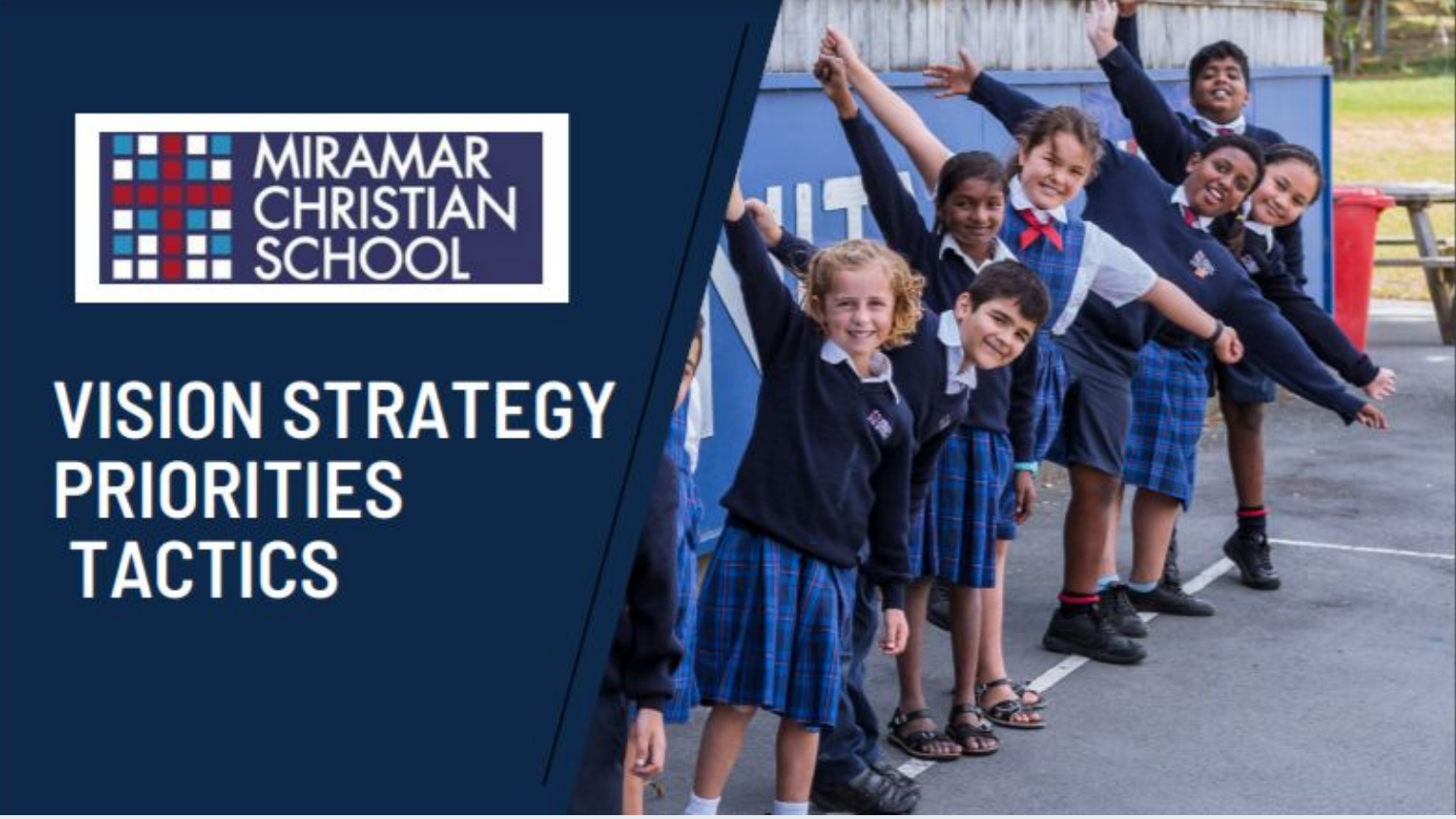

# **VISION STRATEGY PRIORITIES TACTICS**

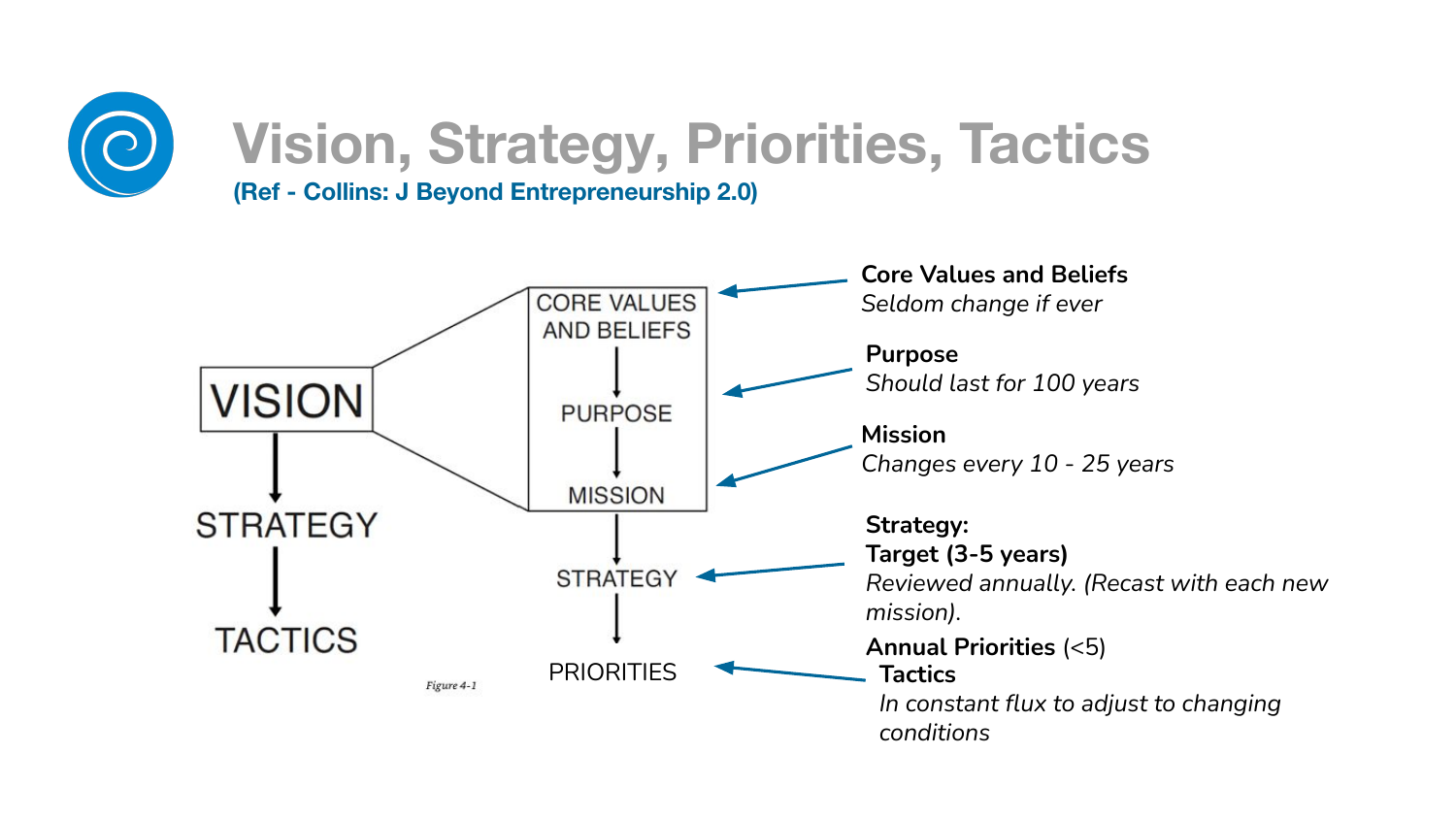

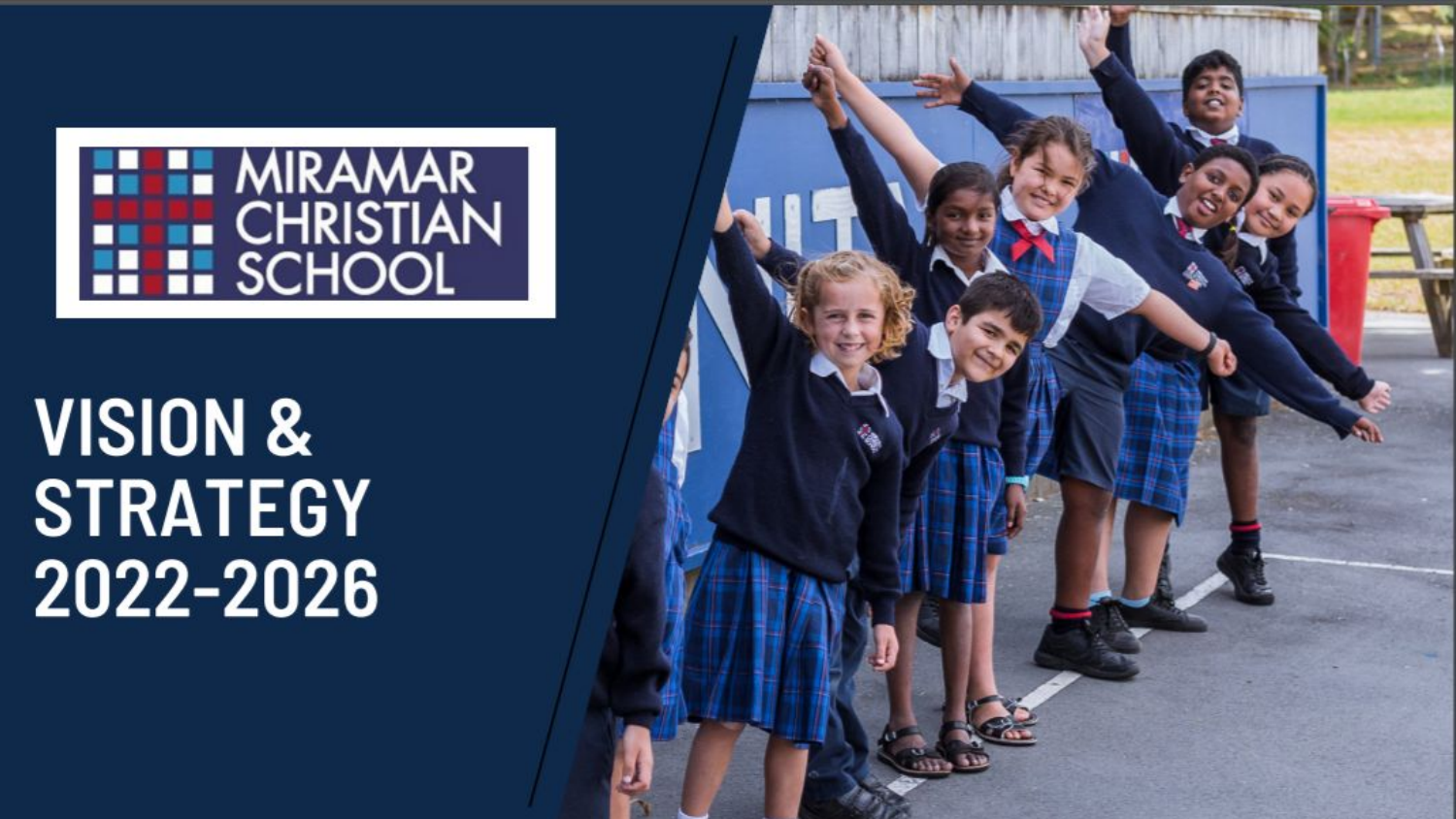

# **VISION & STRATEGY** 2022-2026

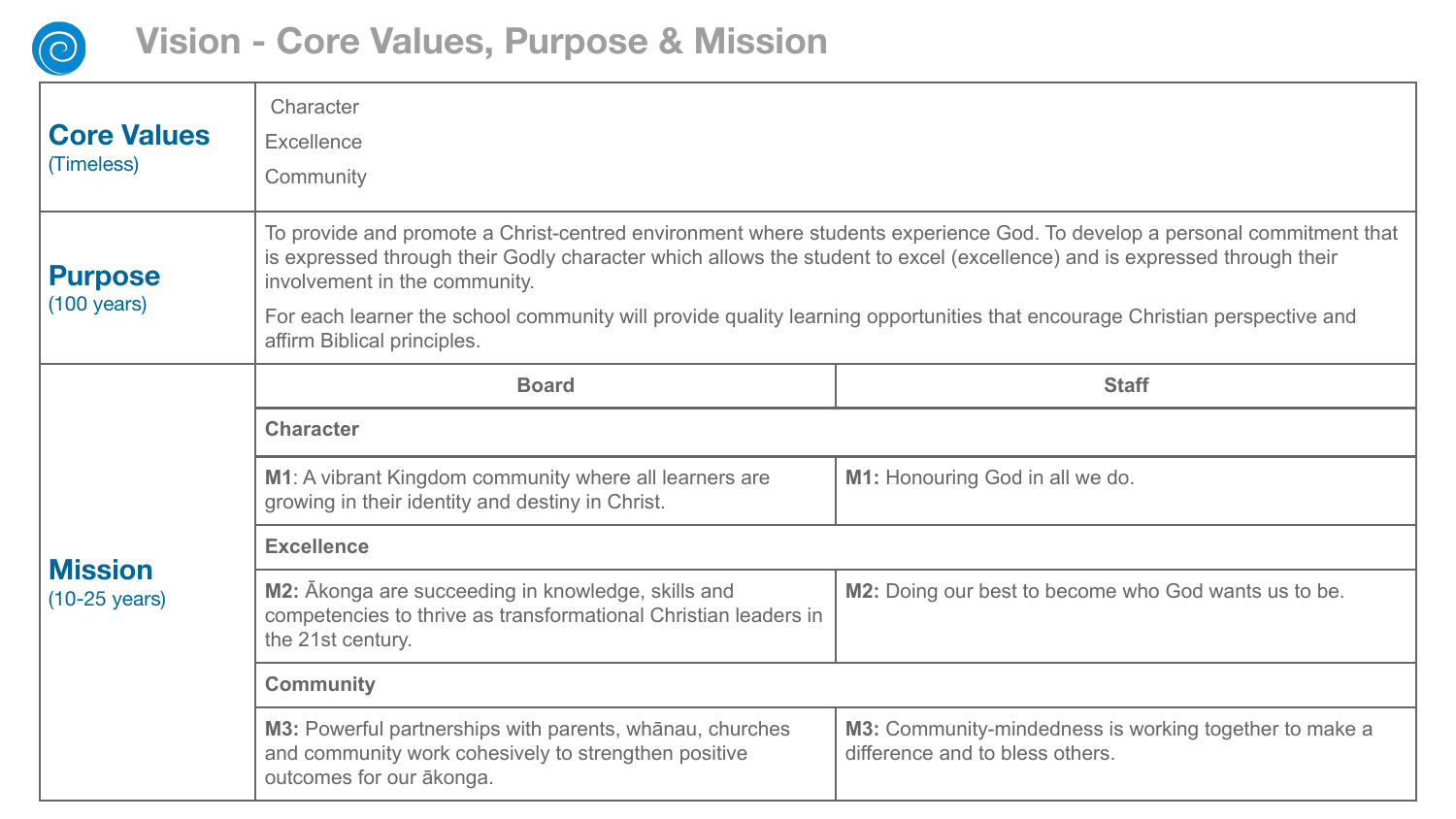

| <b>Core Values</b><br>(Timeless)          | Character<br>Excellence<br>Community                                                                                                                                                                                                                                                                                                                                                                                                               |                                                                                           |  |
|-------------------------------------------|----------------------------------------------------------------------------------------------------------------------------------------------------------------------------------------------------------------------------------------------------------------------------------------------------------------------------------------------------------------------------------------------------------------------------------------------------|-------------------------------------------------------------------------------------------|--|
| <b>Purpose</b><br>$(100 \text{ years})$   | To provide and promote a Christ-centred environment where students experience God. To develop a personal commitment that<br>is expressed through their Godly character which allows the student to excel (excellence) and is expressed through their<br>involvement in the community.<br>For each learner the school community will provide quality learning opportunities that encourage Christian perspective and<br>affirm Biblical principles. |                                                                                           |  |
|                                           | <b>Board</b>                                                                                                                                                                                                                                                                                                                                                                                                                                       | <b>Staff</b>                                                                              |  |
|                                           | <b>Character</b>                                                                                                                                                                                                                                                                                                                                                                                                                                   |                                                                                           |  |
|                                           | M1: A vibrant Kingdom community where all learners are<br>growing in their identity and destiny in Christ.                                                                                                                                                                                                                                                                                                                                         | M1: Honouring God in all we do.                                                           |  |
|                                           | <b>Excellence</b>                                                                                                                                                                                                                                                                                                                                                                                                                                  |                                                                                           |  |
| <b>Mission</b><br>$(10-25 \text{ years})$ | M2: Ākonga are succeeding in knowledge, skills and<br>competencies to thrive as transformational Christian leaders in<br>the 21st century.                                                                                                                                                                                                                                                                                                         | M2: Doing our best to become who God wants us to be.                                      |  |
|                                           | <b>Community</b>                                                                                                                                                                                                                                                                                                                                                                                                                                   |                                                                                           |  |
|                                           | M3: Powerful partnerships with parents, whānau, churches<br>and community work cohesively to strengthen positive<br>outcomes for our ākonga.                                                                                                                                                                                                                                                                                                       | M3: Community-mindedness is working together to make a<br>difference and to bless others. |  |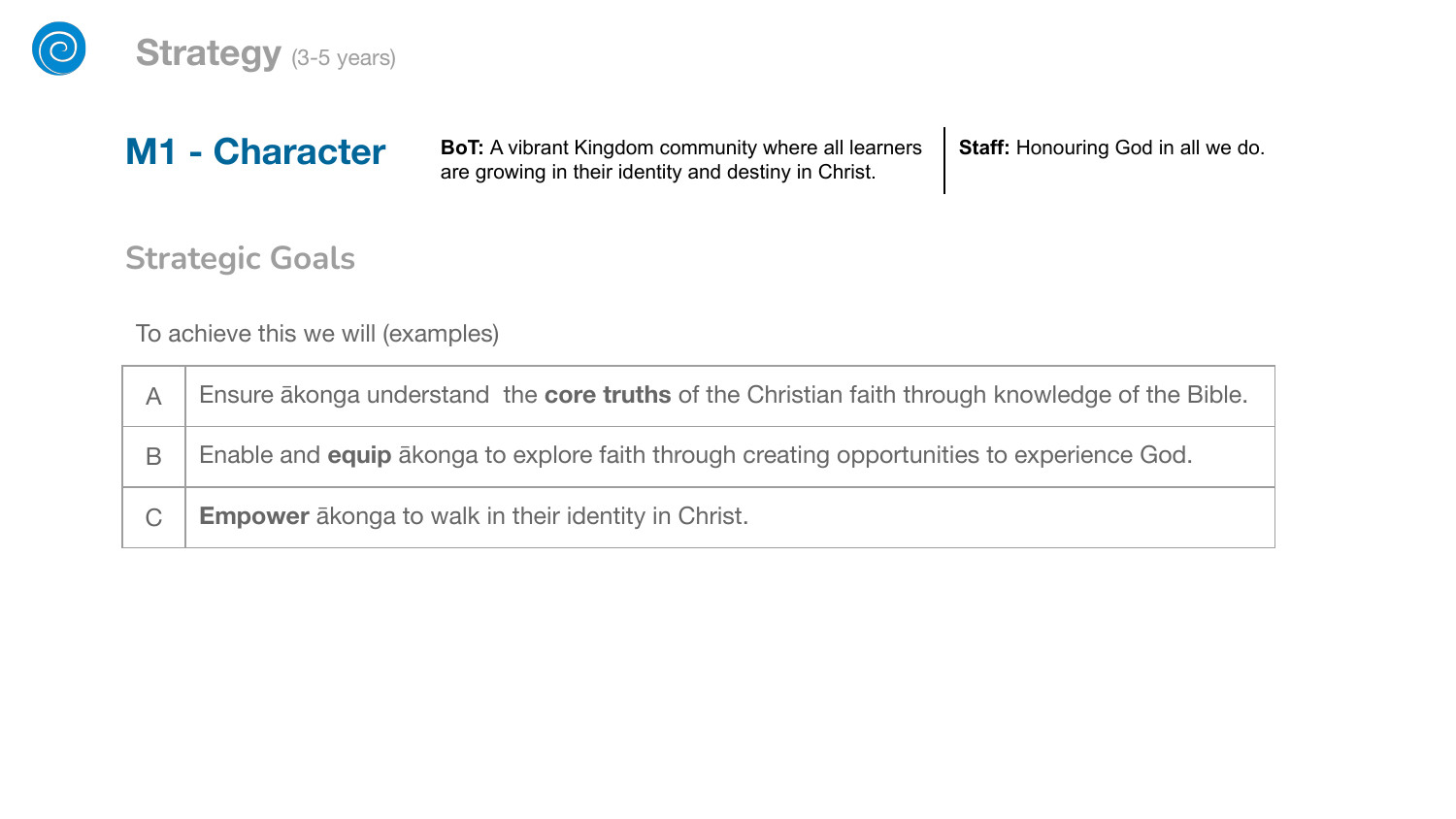

### **Strategy** (3-5 years)

**BoT:** A vibrant Kingdom community where all learners are growing in their identity and destiny in Christ.  **Staff:** Honouring God in all we do.

**Strategic Goals**

**M1 - Character**

To achieve this we will (examples)

| А | Ensure akonga understand the core truths of the Christian faith through knowledge of the Bible.    |
|---|----------------------------------------------------------------------------------------------------|
| B | Enable and <b>equip</b> a konga to explore faith through creating opportunities to experience God. |
| C | <b>Empower</b> akonga to walk in their identity in Christ.                                         |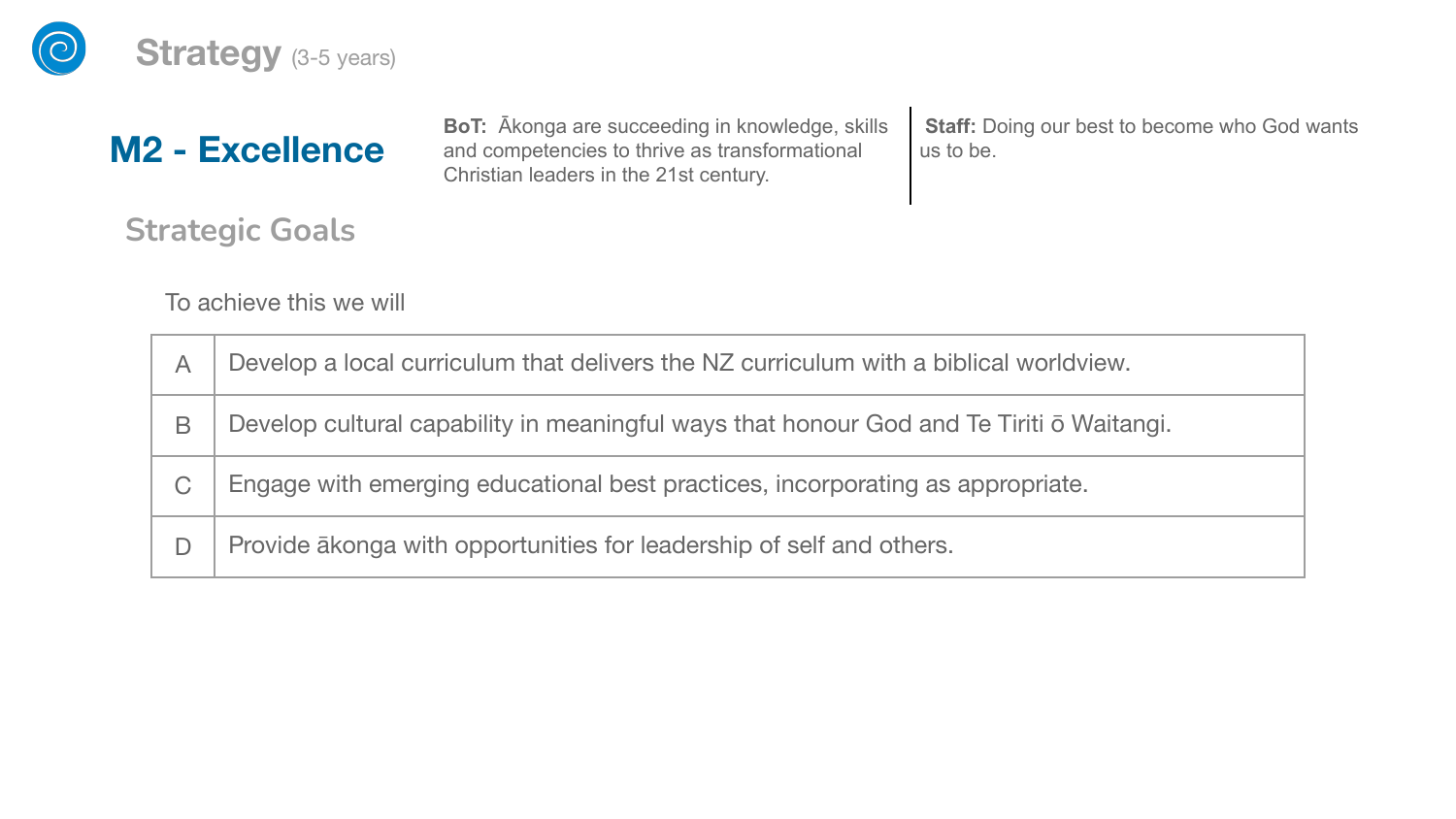

### **M2 - Excellence**

**BoT:** Ākonga are succeeding in knowledge, skills and competencies to thrive as transformational Christian leaders in the 21st century.

**Staff:** Doing our best to become who God wants us to be.

**Strategic Goals**

To achieve this we will

| Α | Develop a local curriculum that delivers the NZ curriculum with a biblical worldview.    |
|---|------------------------------------------------------------------------------------------|
| В | Develop cultural capability in meaningful ways that honour God and Te Tiriti o Waitangi. |
| С | Engage with emerging educational best practices, incorporating as appropriate.           |
|   | Provide akonga with opportunities for leadership of self and others.                     |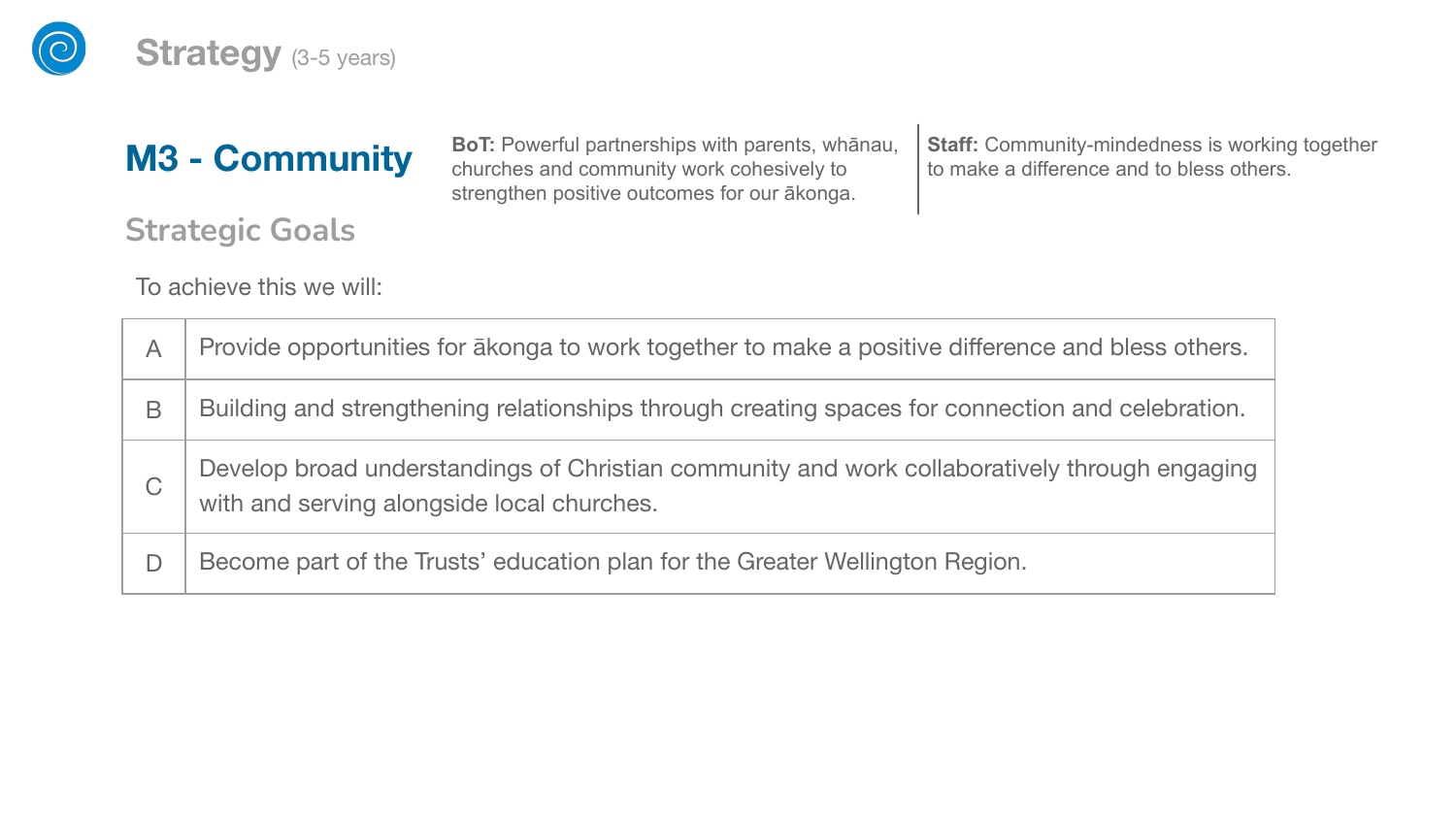

#### **Strategy** (3-5 years)

### **M3 - Community**

**BoT:** Powerful partnerships with parents, whānau, churches and community work cohesively to strengthen positive outcomes for our ākonga.

**Staff:** Community-mindedness is working together to make a difference and to bless others.

**Strategic Goals**

To achieve this we will:

| Α | Provide opportunities for a konga to work together to make a positive difference and bless others.                                          |
|---|---------------------------------------------------------------------------------------------------------------------------------------------|
| В | Building and strengthening relationships through creating spaces for connection and celebration.                                            |
| С | Develop broad understandings of Christian community and work collaboratively through engaging<br>with and serving alongside local churches. |
|   | Become part of the Trusts' education plan for the Greater Wellington Region.                                                                |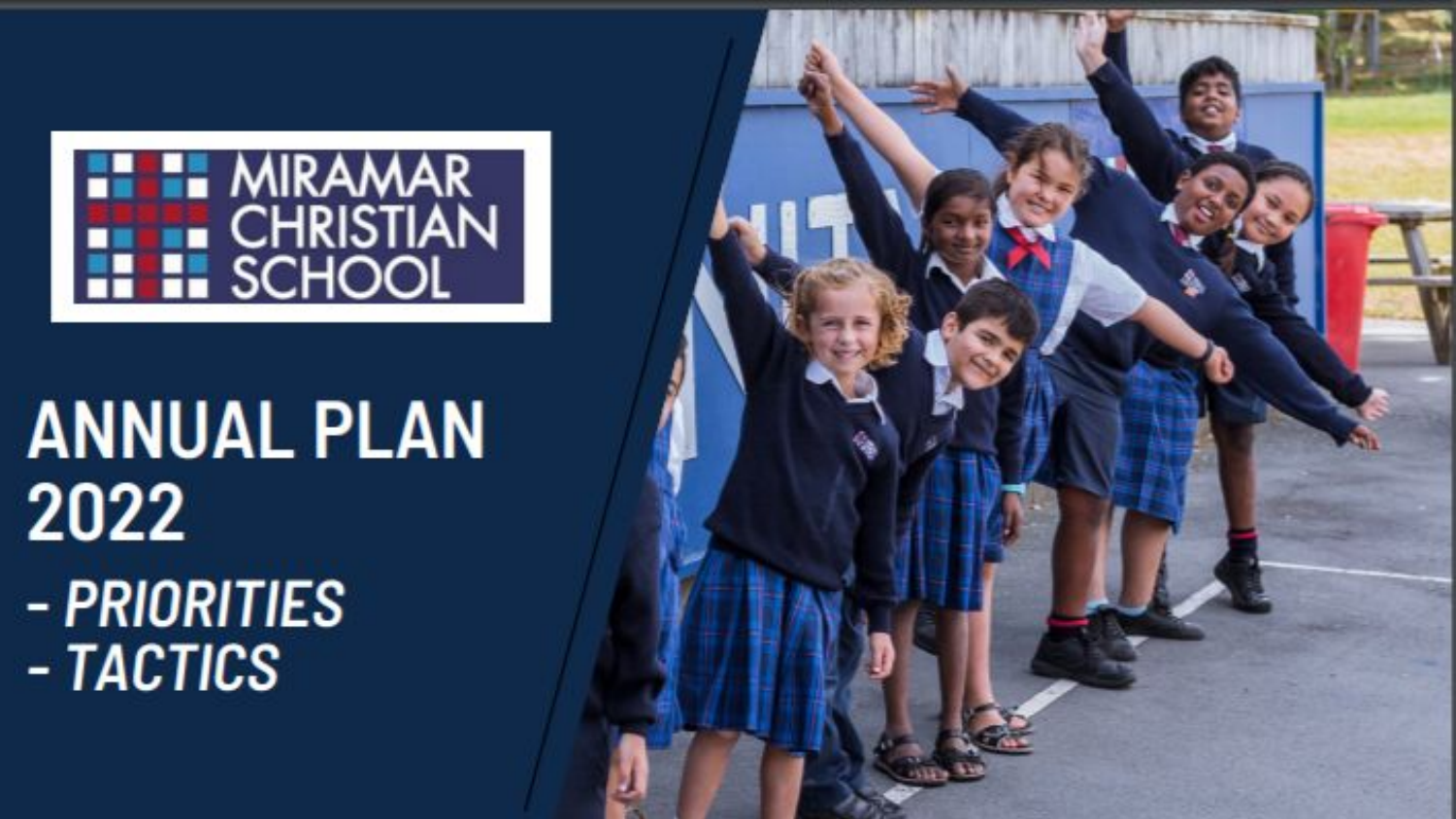

# **ANNUAL PLAN** 2022 - PRIORITIES - TACTICS

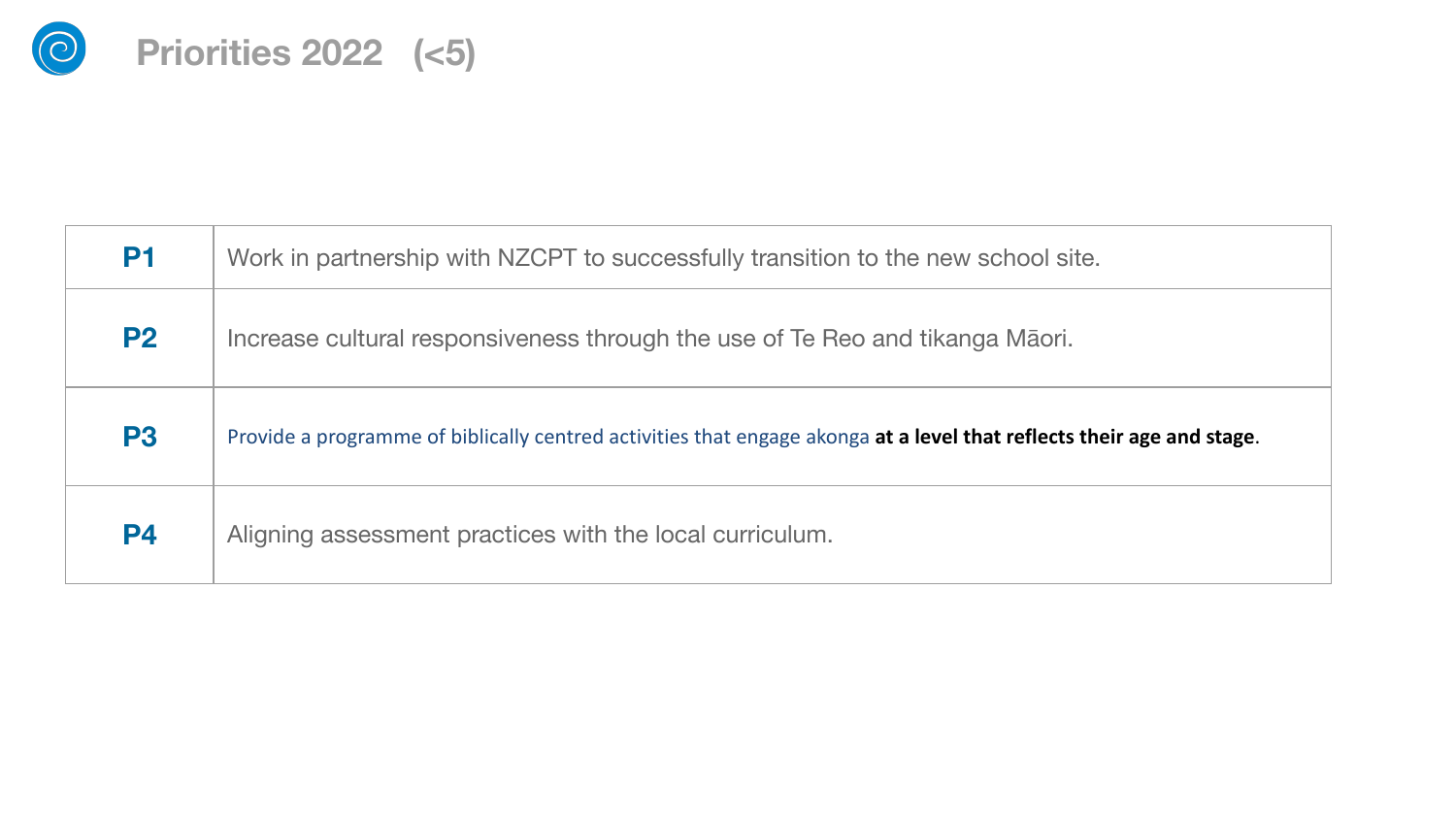

| <b>P1</b>      | Work in partnership with NZCPT to successfully transition to the new school site.                                     |  |
|----------------|-----------------------------------------------------------------------------------------------------------------------|--|
| <b>P2</b>      | Increase cultural responsiveness through the use of Te Reo and tikanga Māori.                                         |  |
| P <sub>3</sub> | Provide a programme of biblically centred activities that engage akonga at a level that reflects their age and stage. |  |
| <b>P4</b>      | Aligning assessment practices with the local curriculum.                                                              |  |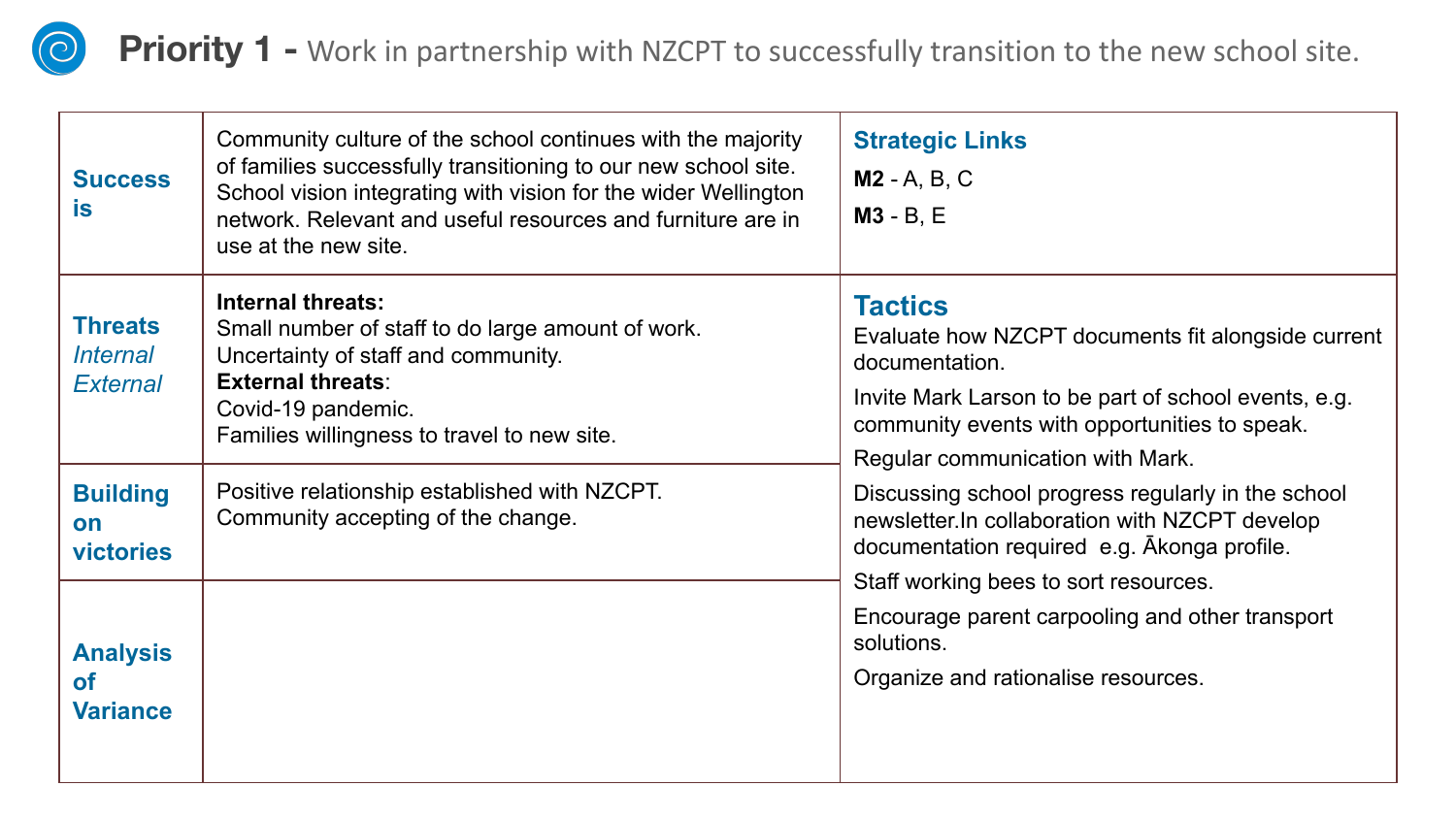

**Priority 1 -** Work in partnership with NZCPT to successfully transition to the new school site.

| <b>Success</b><br>is                                 | Community culture of the school continues with the majority<br>of families successfully transitioning to our new school site.<br>School vision integrating with vision for the wider Wellington<br>network. Relevant and useful resources and furniture are in<br>use at the new site. | <b>Strategic Links</b><br><b>M2</b> - A, B, C<br>$M3 - B$ , E                                                                                                                                                                       |
|------------------------------------------------------|----------------------------------------------------------------------------------------------------------------------------------------------------------------------------------------------------------------------------------------------------------------------------------------|-------------------------------------------------------------------------------------------------------------------------------------------------------------------------------------------------------------------------------------|
| <b>Threats</b><br><i>Internal</i><br><b>External</b> | <b>Internal threats:</b><br>Small number of staff to do large amount of work.<br>Uncertainty of staff and community.<br><b>External threats:</b><br>Covid-19 pandemic.<br>Families willingness to travel to new site.                                                                  | <b>Tactics</b><br>Evaluate how NZCPT documents fit alongside current<br>documentation.<br>Invite Mark Larson to be part of school events, e.g.<br>community events with opportunities to speak.<br>Regular communication with Mark. |
| <b>Building</b><br>on<br>victories                   | Positive relationship established with NZCPT.<br>Community accepting of the change.                                                                                                                                                                                                    | Discussing school progress regularly in the school<br>newsletter.In collaboration with NZCPT develop<br>documentation required e.g. Akonga profile.                                                                                 |
| <b>Analysis</b><br>οf<br><b>Variance</b>             |                                                                                                                                                                                                                                                                                        | Staff working bees to sort resources.<br>Encourage parent carpooling and other transport<br>solutions.<br>Organize and rationalise resources.                                                                                       |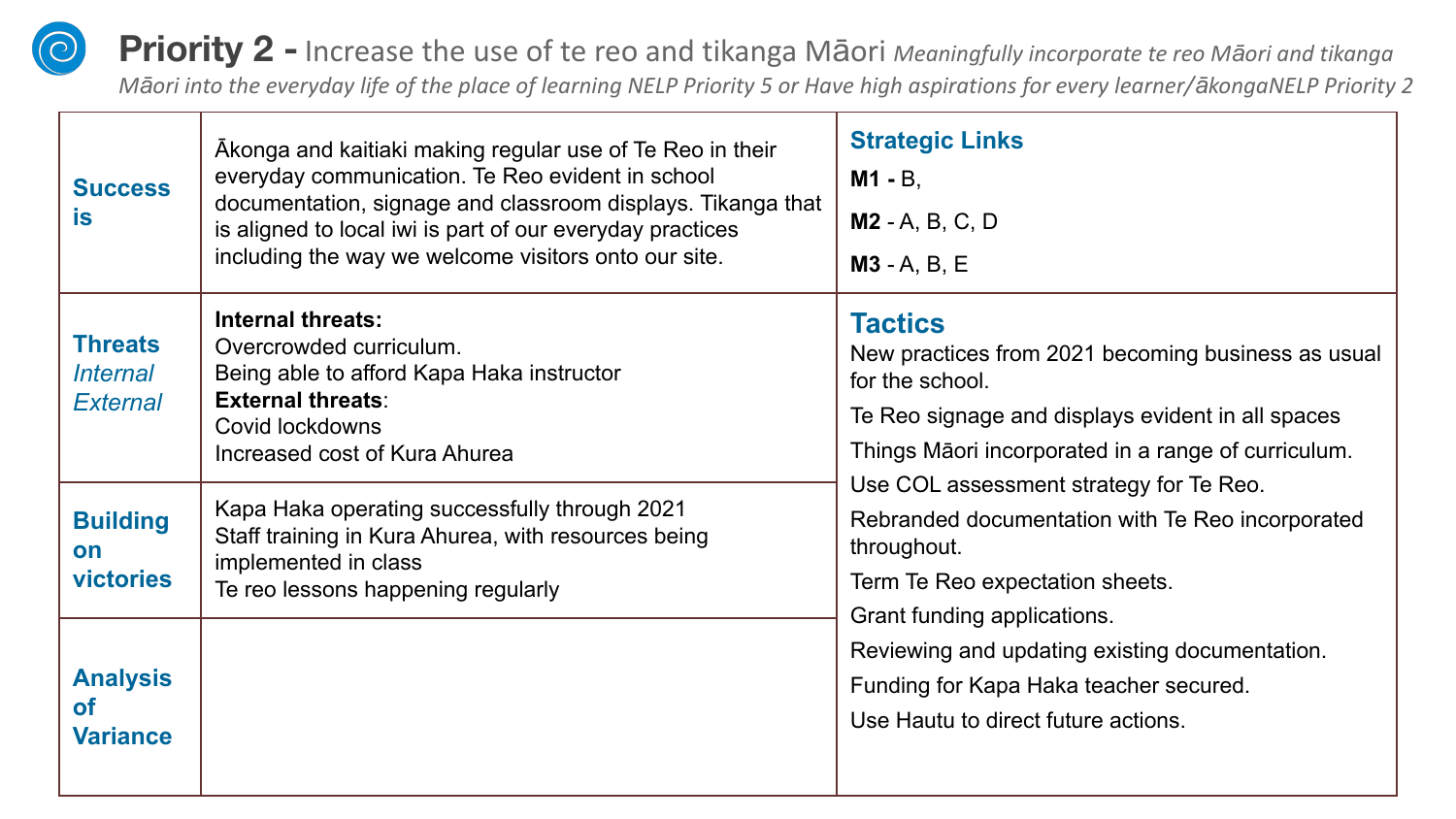**Priority 2 -** Increase the use of te reo and tikanga Māori *Meaningfully incorporate te reo Māori and tikanga Māori into the everyday life of the place of learning NELP Priority 5 or Have high aspirations for every learner/ākongaNELP Priority 2*

| <b>Success</b><br><b>is</b>                          | Akonga and kaitiaki making regular use of Te Reo in their<br>everyday communication. Te Reo evident in school<br>documentation, signage and classroom displays. Tikanga that<br>is aligned to local iwi is part of our everyday practices<br>including the way we welcome visitors onto our site. | <b>Strategic Links</b><br>$M1 - B$ ,<br>$M2 - A, B, C, D$<br>$M3 - A, B, E$                                                                                                                         |
|------------------------------------------------------|---------------------------------------------------------------------------------------------------------------------------------------------------------------------------------------------------------------------------------------------------------------------------------------------------|-----------------------------------------------------------------------------------------------------------------------------------------------------------------------------------------------------|
| <b>Threats</b><br><i><b>Internal</b></i><br>External | Internal threats:<br>Overcrowded curriculum.<br>Being able to afford Kapa Haka instructor<br><b>External threats:</b><br>Covid lockdowns<br>Increased cost of Kura Ahurea                                                                                                                         | <b>Tactics</b><br>New practices from 2021 becoming business as usual<br>for the school.<br>Te Reo signage and displays evident in all spaces<br>Things Māori incorporated in a range of curriculum. |
| <b>Building</b><br>on<br><b>victories</b>            | Kapa Haka operating successfully through 2021<br>Staff training in Kura Ahurea, with resources being<br>implemented in class<br>Te reo lessons happening regularly                                                                                                                                | Use COL assessment strategy for Te Reo.<br>Rebranded documentation with Te Reo incorporated<br>throughout.<br>Term Te Reo expectation sheets.                                                       |
| <b>Analysis</b><br><b>of</b><br><b>Variance</b>      |                                                                                                                                                                                                                                                                                                   | Grant funding applications.<br>Reviewing and updating existing documentation.<br>Funding for Kapa Haka teacher secured.<br>Use Hautu to direct future actions.                                      |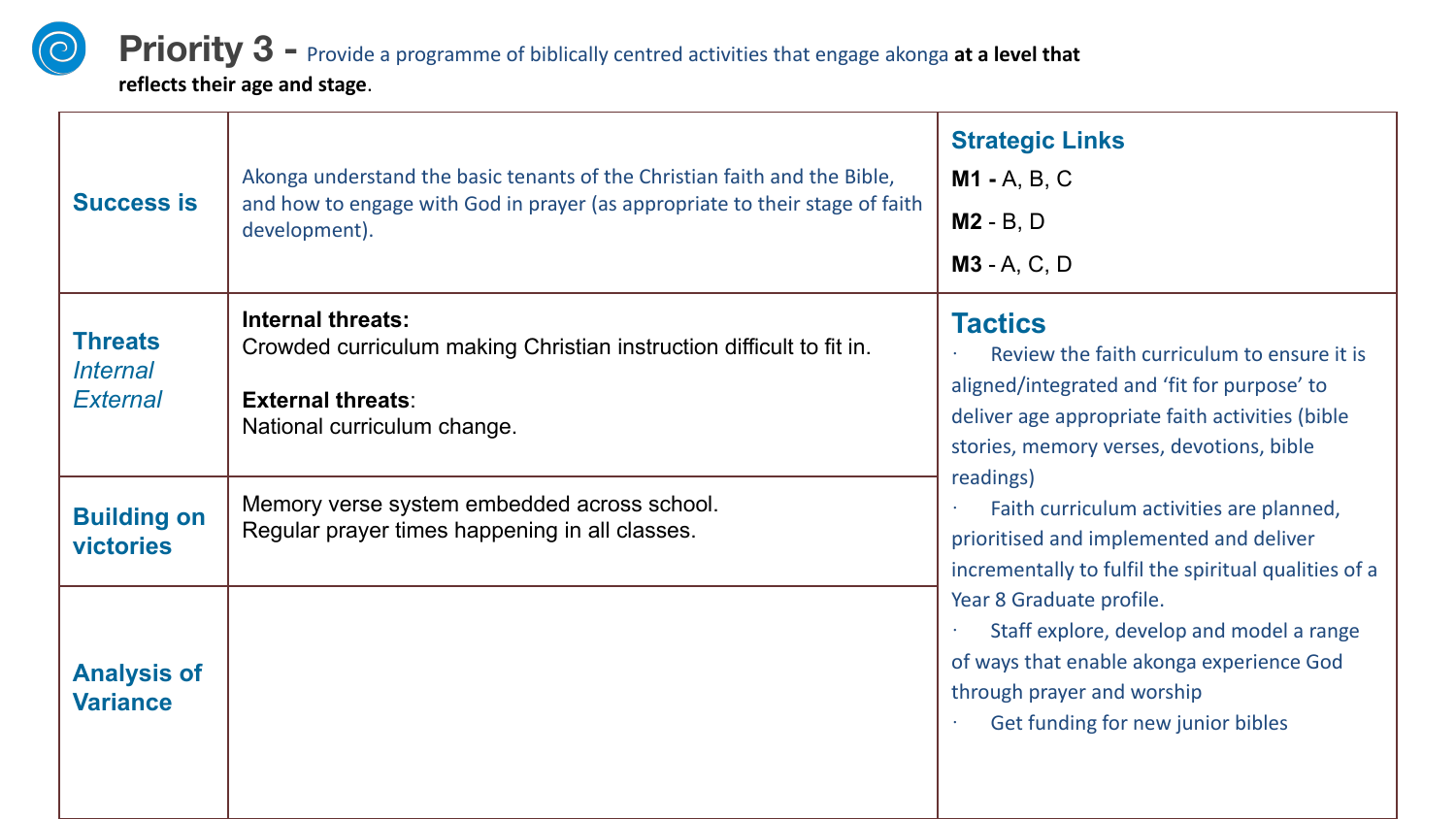## **Priority 3** - Provide a programme of biblically centred activities that engage akonga at a level that

**reflects their age and stage**.

 $\odot$ 

| <b>Success is</b>                                                               | Akonga understand the basic tenants of the Christian faith and the Bible,<br>and how to engage with God in prayer (as appropriate to their stage of faith<br>development). | <b>Strategic Links</b><br><b>M1 - A, B, C</b><br>$M2 - B$ , D<br>$M3 - A, C, D$                                                                                                                                                                                                                                                                                                                                                                                                                                                                                 |
|---------------------------------------------------------------------------------|----------------------------------------------------------------------------------------------------------------------------------------------------------------------------|-----------------------------------------------------------------------------------------------------------------------------------------------------------------------------------------------------------------------------------------------------------------------------------------------------------------------------------------------------------------------------------------------------------------------------------------------------------------------------------------------------------------------------------------------------------------|
| <b>Threats</b><br><b>Internal</b><br><b>External</b>                            | Internal threats:<br>Crowded curriculum making Christian instruction difficult to fit in.<br><b>External threats:</b><br>National curriculum change.                       | <b>Tactics</b><br>Review the faith curriculum to ensure it is<br>aligned/integrated and 'fit for purpose' to<br>deliver age appropriate faith activities (bible<br>stories, memory verses, devotions, bible<br>readings)<br>Faith curriculum activities are planned,<br>prioritised and implemented and deliver<br>incrementally to fulfil the spiritual qualities of a<br>Year 8 Graduate profile.<br>Staff explore, develop and model a range<br>of ways that enable akonga experience God<br>through prayer and worship<br>Get funding for new junior bibles |
| <b>Building on</b><br><b>victories</b><br><b>Analysis of</b><br><b>Variance</b> | Memory verse system embedded across school.<br>Regular prayer times happening in all classes.                                                                              |                                                                                                                                                                                                                                                                                                                                                                                                                                                                                                                                                                 |